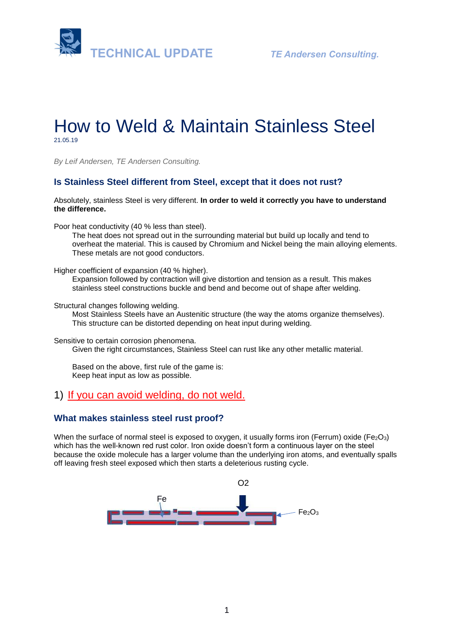

# How to Weld & Maintain Stainless Steel 21.05.19

*By Leif Andersen, TE Andersen Consulting.* 

#### **Is Stainless Steel different from Steel, except that it does not rust?**

Absolutely, stainless Steel is very different. **In order to weld it correctly you have to understand the difference.**

Poor heat conductivity (40 % less than steel).

The heat does not spread out in the surrounding material but build up locally and tend to overheat the material. This is caused by Chromium and Nickel being the main alloying elements. These metals are not good conductors.

Higher coefficient of expansion (40 % higher).

Expansion followed by contraction will give distortion and tension as a result. This makes stainless steel constructions buckle and bend and become out of shape after welding.

Structural changes following welding.

Most Stainless Steels have an Austenitic structure (the way the atoms organize themselves). This structure can be distorted depending on heat input during welding.

Sensitive to certain corrosion phenomena. Given the right circumstances, Stainless Steel can rust like any other metallic material.

Based on the above, first rule of the game is: Keep heat input as low as possible.

#### 1) If you can avoid welding, do not weld.

#### **What makes stainless steel rust proof?**

When the surface of normal steel is exposed to oxygen, it usually forms iron (Ferrum) oxide (Fe $2O_3$ ) which has the well-known red rust color. Iron oxide doesn't form a continuous layer on the steel because the oxide molecule has a larger volume than the underlying iron atoms, and eventually spalls off leaving fresh steel exposed which then starts a deleterious rusting cycle.

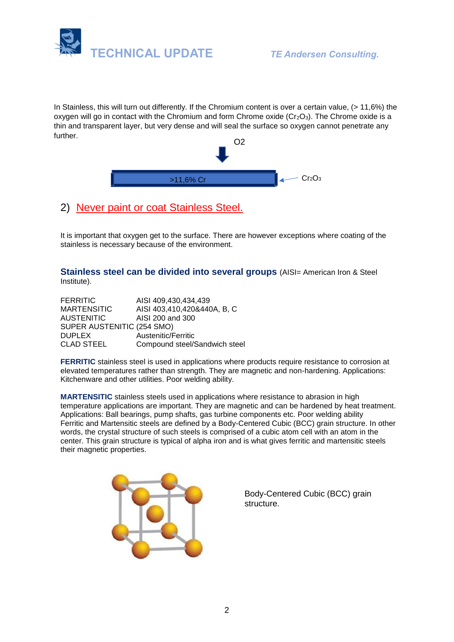

In Stainless, this will turn out differently. If the Chromium content is over a certain value, (> 11,6%) the oxygen will go in contact with the Chromium and form Chrome oxide (Cr<sub>2</sub>O<sub>3</sub>). The Chrome oxide is a thin and transparent layer, but very dense and will seal the surface so oxygen cannot penetrate any further.



# 2) Never paint or coat Stainless Steel.

It is important that oxygen get to the surface. There are however exceptions where coating of the stainless is necessary because of the environment.

#### **Stainless steel can be divided into several groups** (AISI= American Iron & Steel Institute).

| <b>FERRITIC</b>            | AISI 409,430,434,439          |
|----------------------------|-------------------------------|
| <b>MARTENSITIC</b>         | AISI 403,410,420&440A, B, C   |
| <b>AUSTENITIC</b>          | AISI 200 and 300              |
| SUPER AUSTENITIC (254 SMO) |                               |
| <b>DUPLEX</b>              | Austenitic/Ferritic           |
| <b>CLAD STEEL</b>          | Compound steel/Sandwich steel |

**FERRITIC** stainless steel is used in applications where products require resistance to corrosion at elevated temperatures rather than strength. They are magnetic and non-hardening. Applications: Kitchenware and other utilities. Poor welding ability.

**MARTENSITIC** stainless steels used in applications where resistance to abrasion in high temperature applications are important. They are magnetic and can be hardened by heat treatment. Applications: Ball bearings, pump shafts, gas turbine components etc. Poor welding ability Ferritic and Martensitic steels are defined by a Body-Centered Cubic (BCC) grain structure. In other words, the crystal structure of such steels is comprised of a cubic atom cell with an atom in the center. This grain structure is typical of alpha [iron a](http://metals.about.com/od/properties/a/Metal-Profile-Iron.htm)nd is what gives ferritic and martensitic steels their [magnetic properties.](http://metals.about.com/od/metallurgy/a/Magnets-And-Metals.htm)



Body-Centered Cubic (BCC) grain structure.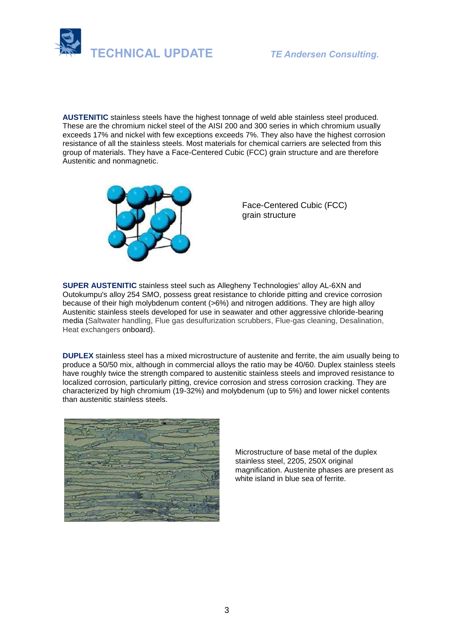

**AUSTENITIC** stainless steels have the highest tonnage of weld able stainless steel produced. These are the chromium nickel steel of the AISI 200 and 300 series in which chromium usually exceeds 17% and nickel with few exceptions exceeds 7%. They also have the highest corrosion resistance of all the stainless steels. Most materials for chemical carriers are selected from this group of materials. They have a Face-Centered Cubic (FCC) grain structure and are therefore Austenitic and nonmagnetic.



Face-Centered Cubic (FCC) grain structure

**SUPER AUSTENITIC** stainless steel such as [Allegheny Technologies'](https://en.wikipedia.org/wiki/Allegheny_Ludlum) alloy [AL-6XN](https://en.wikipedia.org/wiki/AL-6XN) and Outokumpu's alloy 254 SMO, possess great resistance to chloride pitting and crevice corrosion because of their high [molybdenum](https://en.wikipedia.org/wiki/Molybdenum) content (>6%) and nitrogen additions. They are high alloy Austenitic stainless steels developed for use in seawater and other aggressive chloride-bearing media (Saltwater handling, Flue gas desulfurization scrubbers, Flue-gas cleaning, Desalination, Heat exchangers onboard).

**DUPLEX** stainless steel has a mixed microstructure of austenite and ferrite, the aim usually being to produce a 50/50 mix, although in commercial alloys the ratio may be 40/60. Duplex stainless steels have roughly twice the strength compared to austenitic stainless steels and improved resistance to localized corrosion, particularly [pitting, c](https://en.wikipedia.org/wiki/Pitting)revice corrosion and stress corrosion cracking. They are characterized by high chromium (19-32%) and molybdenum (up to 5%) and lower nickel contents than austenitic stainless steels.



Microstructure of base metal of the duplex stainless steel, 2205, 250X original magnification. Austenite phases are present as white island in blue sea of ferrite.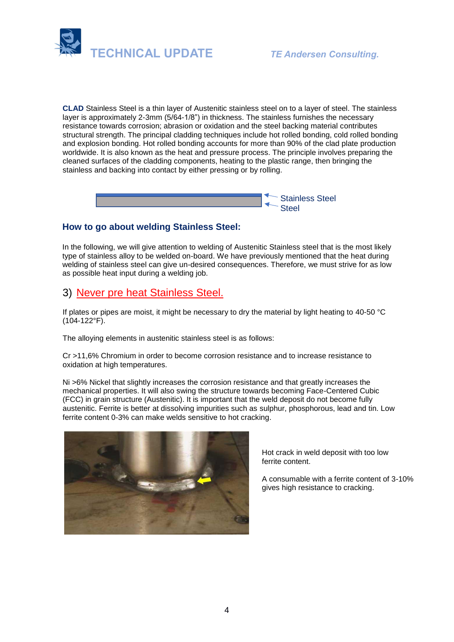

**CLAD** Stainless Steel is a thin layer of Austenitic stainless steel on to a layer of steel. The stainless layer is approximately 2-3mm (5/64-1/8") in thickness. The stainless furnishes the necessary resistance towards corrosion; abrasion or oxidation and the steel backing material contributes structural strength. The principal cladding techniques include hot rolled bonding, cold rolled bonding and explosion bonding. Hot rolled bonding accounts for more than 90% of the clad plate production worldwide. It is also known as the heat and pressure process. The principle involves preparing the cleaned surfaces of the cladding components, heating to the plastic range, then bringing the stainless and backing into contact by either pressing or by rolling.



#### **How to go about welding Stainless Steel:**

In the following, we will give attention to welding of Austenitic Stainless steel that is the most likely type of stainless alloy to be welded on-board. We have previously mentioned that the heat during welding of stainless steel can give un-desired consequences. Therefore, we must strive for as low as possible heat input during a welding job.

### 3) Never pre heat Stainless Steel.

If plates or pipes are moist, it might be necessary to dry the material by light heating to 40-50 °C (104-122°F).

The alloying elements in austenitic stainless steel is as follows:

Cr >11,6% Chromium in order to become corrosion resistance and to increase resistance to oxidation at high temperatures.

Ni >6% Nickel that slightly increases the corrosion resistance and that greatly increases the mechanical properties. It will also swing the structure towards becoming Face-Centered Cubic (FCC) in grain structure (Austenitic). It is important that the weld deposit do not become fully austenitic. Ferrite is better at dissolving impurities such as sulphur, phosphorous, lead and tin. Low ferrite content 0-3% can make welds sensitive to hot cracking.



Hot crack in weld deposit with too low ferrite content.

A consumable with a ferrite content of 3-10% gives high resistance to cracking.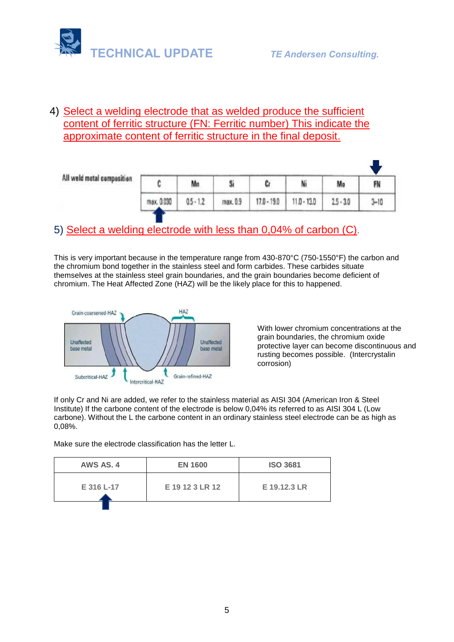

## 4) Select a welding electrode that as welded produce the sufficient content of ferritic structure (FN: Ferritic number) This indicate the approximate content of ferritic structure in the final deposit.

| All weld metal composition |            | Mn          |          |               | Ni            | Mo          | FN       |
|----------------------------|------------|-------------|----------|---------------|---------------|-------------|----------|
|                            | max. 0.030 | $0.5 - 1.2$ | max. 0.9 | $17.0 - 19.0$ | $11.0 - 13.0$ | $2.5 - 3.0$ | $3 - 10$ |

# 5) Select a welding electrode with less than 0,04% of carbon (C).

This is very important because in the temperature range from 430-870°C (750-1550°F) the carbon and the chromium bond together in the stainless steel and form carbides. These carbides situate themselves at the stainless steel grain boundaries, and the grain boundaries become deficient of chromium. The Heat Affected Zone (HAZ) will be the likely place for this to happened.



With lower chromium concentrations at the grain boundaries, the chromium oxide protective layer can become discontinuous and rusting becomes possible. (Intercrystalin corrosion)

If only Cr and Ni are added, we refer to the stainless material as AISI 304 (American Iron & Steel Institute) If the carbone content of the electrode is below 0,04% its referred to as AISI 304 L (Low carbone). Without the L the carbone content in an ordinary stainless steel electrode can be as high as 0,08%.

Make sure the electrode classification has the letter L.

| AWS AS. 4  | <b>EN 1600</b>  | <b>ISO 3681</b> |  |
|------------|-----------------|-----------------|--|
| E 316 L-17 | E 19 12 3 LR 12 | E 19.12.3 LR    |  |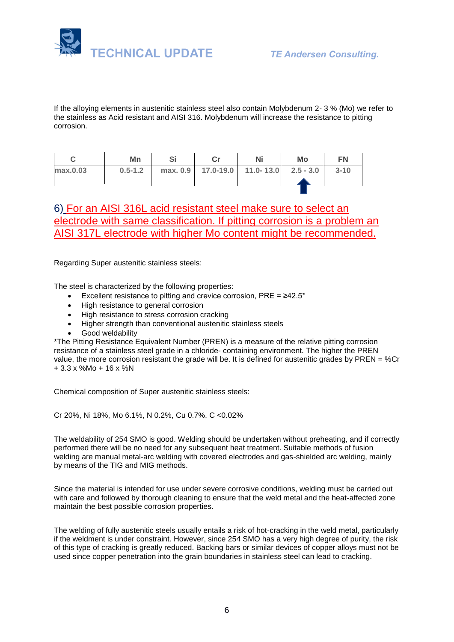

If the alloying elements in austenitic stainless steel also contain Molybdenum 2- 3 % (Mo) we refer to the stainless as Acid resistant and AISI 316. Molybdenum will increase the resistance to pitting corrosion.

|          | Mn          |  | Ni                                         | Mo | FN       |
|----------|-------------|--|--------------------------------------------|----|----------|
| max.0.03 | $0.5 - 1.2$ |  | max. 0.9   17.0-19.0   11.0-13.0 2.5 - 3.0 |    | $3 - 10$ |
|          |             |  |                                            |    |          |

## 6) For an AISI 316L acid resistant steel make sure to select an electrode with same classification. If pitting corrosion is a problem an AISI 317L electrode with higher Mo content might be recommended.

Regarding Super austenitic stainless steels:

The steel is characterized by the following properties:

- Excellent resistance to pitting and crevice corrosion, PRE = ≥42.5\*
- High resistance to general corrosion
- High resistance to stress corrosion cracking
- Higher strength than conventional austenitic stainless steels
- Good weldability

\*The Pitting Resistance Equivalent Number (PREN) is a measure of the relative pitting corrosion resistance of a stainless steel grade in a chloride- containing environment. The higher the PREN value, the more corrosion resistant the grade will be. It is defined for austenitic grades by PREN =  $%$ Cr + 3.3 x %Mo + 16 x %N

Chemical composition of Super austenitic stainless steels:

Cr 20%, Ni 18%, Mo 6.1%, N 0.2%, Cu 0.7%, C <0.02%

The weldability of 254 SMO is good. Welding should be undertaken without preheating, and if correctly performed there will be no need for any subsequent heat treatment. Suitable methods of fusion welding are manual metal-arc welding with covered electrodes and gas-shielded arc welding, mainly by means of the TIG and MIG methods.

Since the material is intended for use under severe corrosive conditions, welding must be carried out with care and followed by thorough cleaning to ensure that the weld metal and the heat-affected zone maintain the best possible corrosion properties.

The welding of fully austenitic steels usually entails a risk of hot-cracking in the weld metal, particularly if the weldment is under constraint. However, since 254 SMO has a very high degree of purity, the risk of this type of cracking is greatly reduced. Backing bars or similar devices of copper alloys must not be used since copper penetration into the grain boundaries in stainless steel can lead to cracking.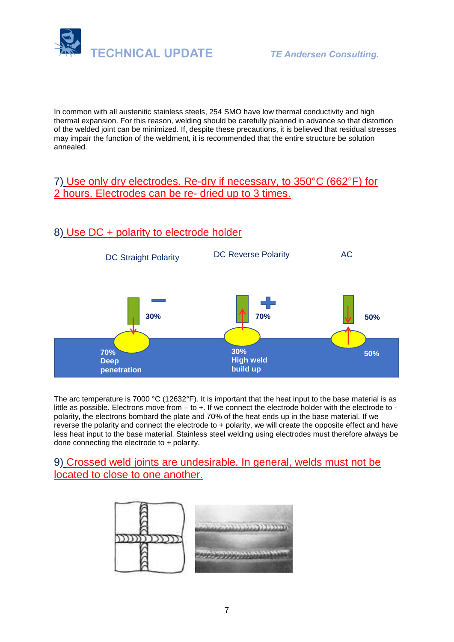

In common with all austenitic stainless steels, 254 SMO have low thermal conductivity and high thermal expansion. For this reason, welding should be carefully planned in advance so that distortion of the welded joint can be minimized. If, despite these precautions, it is believed that residual stresses may impair the function of the weldment, it is recommended that the entire structure be solution annealed.

## 7) Use only dry electrodes. Re-dry if necessary, to 350°C (662°F) for 2 hours. Electrodes can be re- dried up to 3 times.

## 8) Use DC + polarity to electrode holder



The arc temperature is 7000 °C (12632°F). It is important that the heat input to the base material is as little as possible. Electrons move from – to +. If we connect the electrode holder with the electrode to polarity, the electrons bombard the plate and 70% of the heat ends up in the base material. If we reverse the polarity and connect the electrode to + polarity, we will create the opposite effect and have less heat input to the base material. Stainless steel welding using electrodes must therefore always be done connecting the electrode to + polarity.

### 9) Crossed weld joints are undesirable. In general, welds must not be located to close to one another.

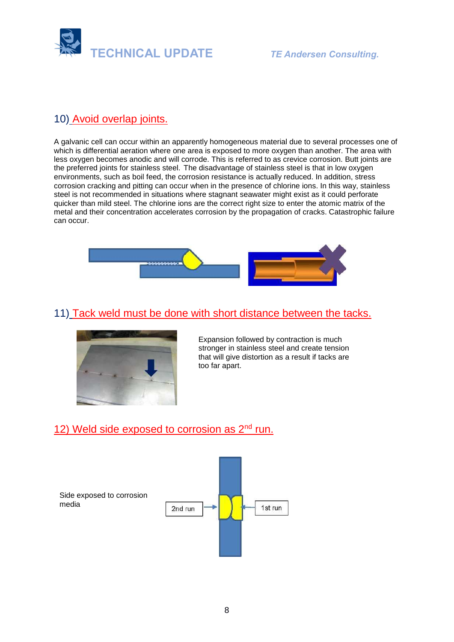

# 10) Avoid overlap joints.

A galvanic cell can occur within an apparently homogeneous material due to several processes one of which is differential aeration where one area is exposed to more oxygen than another. The area with less oxygen becomes anodic and will corrode. This is referred to as crevice corrosion. Butt joints are the preferred joints for stainless steel. The disadvantage of stainless steel is that in low oxygen environments, such as boil feed, the corrosion resistance is actually reduced. In addition, stress corrosion cracking and pitting can occur when in the presence of chlorine ions. In this way, stainless steel is not recommended in situations where stagnant seawater might exist as it could perforate quicker than mild steel. The chlorine ions are the correct right size to enter the atomic matrix of the metal and their concentration accelerates corrosion by the propagation of cracks. Catastrophic failure can occur.



# 11) Tack weld must be done with short distance between the tacks.



Expansion followed by contraction is much stronger in stainless steel and create tension that will give distortion as a result if tacks are too far apart.

## 12) Weld side exposed to corrosion as  $2<sup>nd</sup>$  run.

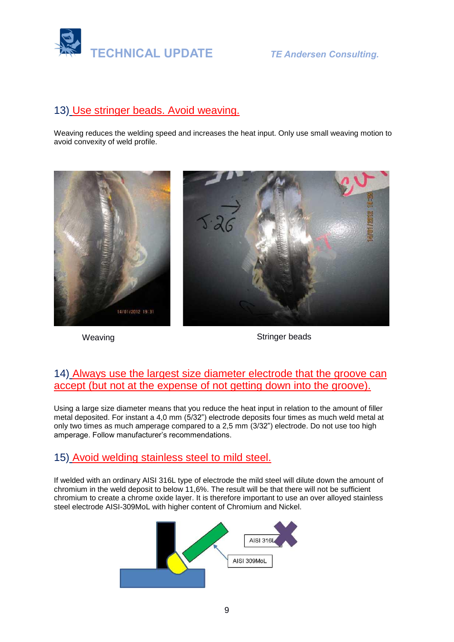

## 13) Use stringer beads. Avoid weaving.

Weaving reduces the welding speed and increases the heat input. Only use small weaving motion to avoid convexity of weld profile.



Weaving **Stringer beads** Stringer beads

## 14) Always use the largest size diameter electrode that the groove can accept (but not at the expense of not getting down into the groove).

Using a large size diameter means that you reduce the heat input in relation to the amount of filler metal deposited. For instant a 4,0 mm (5/32") electrode deposits four times as much weld metal at only two times as much amperage compared to a 2,5 mm (3/32") electrode. Do not use too high amperage. Follow manufacturer's recommendations.

## 15) Avoid welding stainless steel to mild steel.

If welded with an ordinary AISI 316L type of electrode the mild steel will dilute down the amount of chromium in the weld deposit to below 11,6%. The result will be that there will not be sufficient chromium to create a chrome oxide layer. It is therefore important to use an over alloyed stainless steel electrode AISI-309MoL with higher content of Chromium and Nickel.

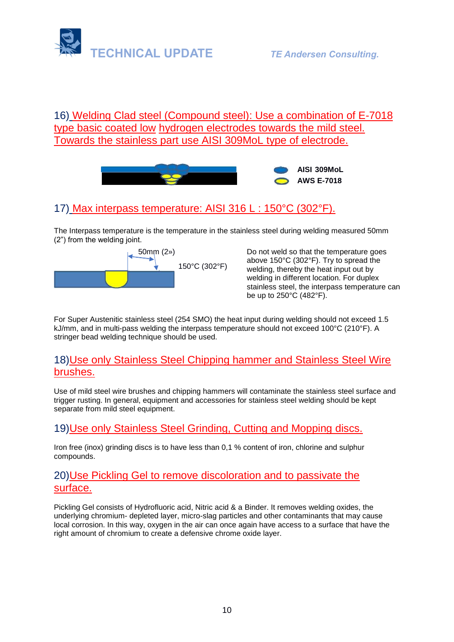

## 16) Welding Clad steel (Compound steel): Use a combination of E-7018 type basic coated low hydrogen electrodes towards the mild steel. Towards the stainless part use AISI 309MoL type of electrode.



# 17) Max interpass temperature: AISI 316 L : 150°C (302°F).

The Interpass temperature is the temperature in the stainless steel during welding measured 50mm (2") from the welding joint.



50mm (2») Do not weld so that the temperature goes above 150°C (302°F). Try to spread the welding, thereby the heat input out by welding in different location. For duplex stainless steel, the interpass temperature can be up to 250°C (482°F).

For Super Austenitic stainless steel (254 SMO) the heat input during welding should not exceed 1.5 kJ/mm, and in multi-pass welding the interpass temperature should not exceed 100°C (210°F). A stringer bead welding technique should be used.

### 18)Use only Stainless Steel Chipping hammer and Stainless Steel Wire brushes.

Use of mild steel wire brushes and chipping hammers will contaminate the stainless steel surface and trigger rusting. In general, equipment and accessories for stainless steel welding should be kept separate from mild steel equipment.

## 19)Use only Stainless Steel Grinding, Cutting and Mopping discs.

Iron free (inox) grinding discs is to have less than 0,1 % content of iron, chlorine and sulphur compounds.

#### 20)Use Pickling Gel to remove discoloration and to passivate the surface.

Pickling Gel consists of Hydrofluoric acid, Nitric acid & a Binder. It removes welding oxides, the underlying chromium- depleted layer, micro-slag particles and other contaminants that may cause local corrosion. In this way, oxygen in the air can once again have access to a surface that have the right amount of chromium to create a defensive chrome oxide layer.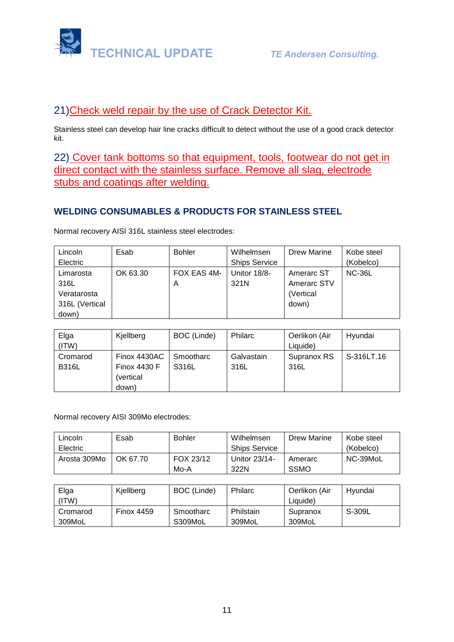

## 21)Check weld repair by the use of Crack Detector Kit.

Stainless steel can develop hair line cracks difficult to detect without the use of a good crack detector kit.

22) Cover tank bottoms so that equipment, tools, footwear do not get in direct contact with the stainless surface. Remove all slag, electrode stubs and coatings after welding.

#### **WELDING CONSUMABLES & PRODUCTS FOR STAINLESS STEEL**

Normal recovery AISI 316L stainless steel electrodes:

| Lincoln        | Esab     | <b>Bohler</b> | Wilhelmsen           | Drew Marine | Kobe steel    |
|----------------|----------|---------------|----------------------|-------------|---------------|
| Electric       |          |               | <b>Ships Service</b> |             | (Kobelco)     |
| Limarosta      | OK 63.30 | FOX EAS 4M-   | Unitor 18/8-         | Amerarc ST  | <b>NC-36L</b> |
| 316L           |          | A             | 321N                 | Amerarc STV |               |
| Veratarosta    |          |               |                      | (Vertical   |               |
| 316L (Vertical |          |               |                      | down)       |               |
| down)          |          |               |                      |             |               |

| Elga         | Kjellberg           | BOC (Linde) | <b>Philarc</b> | Oerlikon (Air | Hyundai    |
|--------------|---------------------|-------------|----------------|---------------|------------|
| (ITW)        |                     |             |                | Liquide)      |            |
| Cromarod     | Finox 4430AC        | Smootharc   | Galvastain     | Supranox RS   | S-316LT.16 |
| <b>B316L</b> | <b>Finox 4430 F</b> | S316L       | 316L           | 316L          |            |
|              | (vertical           |             |                |               |            |
|              | down)               |             |                |               |            |

Normal recovery AISI 309Mo electrodes:

| Lincoln      | Esab     | <b>Bohler</b> | Wilhelmsen           | Drew Marine | Kobe steel |
|--------------|----------|---------------|----------------------|-------------|------------|
| Electric     |          |               | <b>Ships Service</b> |             | (Kobelco)  |
| Arosta 309Mo | OK 67.70 | FOX 23/12     | Unitor 23/14-        | Amerarc     | NC-39MoL   |
|              |          | Mo-A          | 322N                 | <b>SSMO</b> |            |

| Elga<br>'ITW) | Kjellberg         | BOC (Linde) | Philarc   | Oerlikon (Air<br>Liauide) | Hvundai |
|---------------|-------------------|-------------|-----------|---------------------------|---------|
| Cromarod      | <b>Finox 4459</b> | Smootharc   | Philstain | Supranox                  | S-309L  |
| 309MoL        |                   | S309MoL     | 309MoL    | 309MoL                    |         |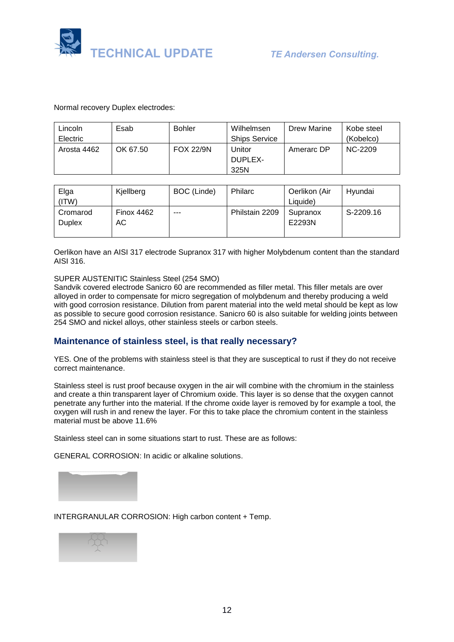

Normal recovery Duplex electrodes:

| Lincoln     | Esab     | <b>Bohler</b>    | Wilhelmsen           | Drew Marine | Kobe steel |
|-------------|----------|------------------|----------------------|-------------|------------|
| Electric    |          |                  | <b>Ships Service</b> |             | (Kobelco)  |
| Arosta 4462 | OK 67.50 | <b>FOX 22/9N</b> | Jnitor               | Amerarc DP  | NC-2209    |
|             |          |                  | DUPLEX-              |             |            |
|             |          |                  | 325N                 |             |            |

| Elga          | Kjellberg         | BOC (Linde) | <b>Philarc</b> | Oerlikon (Air | Hyundai   |
|---------------|-------------------|-------------|----------------|---------------|-----------|
| (ITW)         |                   |             |                | Liquide)      |           |
| Cromarod      | <b>Finox 4462</b> | ---         | Philstain 2209 | Supranox      | S-2209.16 |
| <b>Duplex</b> | АC                |             |                | E2293N        |           |
|               |                   |             |                |               |           |

Oerlikon have an AISI 317 electrode Supranox 317 with higher Molybdenum content than the standard AISI 316.

#### SUPER AUSTENITIC Stainless Steel (254 SMO)

Sandvik covered [electrode](https://www.materials.sandvik/en/materials-center/material-datasheets/welding-products/covered-electrodes/sanicro-60/) Sanicro 60 are recommended as filler metal. This filler metals are over alloyed in order to compensate for micro segregation of molybdenum and thereby producing a weld with good corrosion resistance. Dilution from parent material into the weld metal should be kept as low as possible to secure good corrosion resistance. Sanicro 60 is also suitable for welding joints between 254 SMO and nickel alloys, other stainless steels or carbon steels.

#### **Maintenance of stainless steel, is that really necessary?**

YES. One of the problems with stainless steel is that they are susceptical to rust if they do not receive correct maintenance.

Stainless steel is rust proof because oxygen in the air will combine with the chromium in the stainless and create a thin transparent layer of Chromium oxide. This layer is so dense that the oxygen cannot penetrate any further into the material. If the chrome oxide layer is removed by for example a tool, the oxygen will rush in and renew the layer. For this to take place the chromium content in the stainless material must be above 11.6%

Stainless steel can in some situations start to rust. These are as follows:

GENERAL CORROSION: In acidic or alkaline solutions.



INTERGRANULAR CORROSION: High carbon content + Temp.

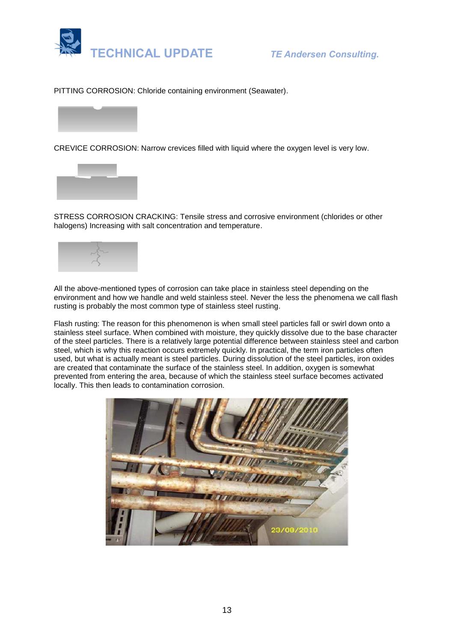

PITTING CORROSION: Chloride containing environment (Seawater).



CREVICE CORROSION: Narrow crevices filled with liquid where the oxygen level is very low.



STRESS CORROSION CRACKING: Tensile stress and corrosive environment (chlorides or other halogens) Increasing with salt concentration and temperature.



All the above-mentioned types of corrosion can take place in stainless steel depending on the environment and how we handle and weld stainless steel. Never the less the phenomena we call flash rusting is probably the most common type of stainless steel rusting.

Flash rusting: The reason for this phenomenon is when small steel particles fall or swirl down onto a stainless steel surface. When combined with moisture, they quickly dissolve due to the base character of the steel particles. There is a relatively large potential difference between stainless steel and carbon steel, which is why this reaction occurs extremely quickly. In practical, the term iron particles often used, but what is actually meant is steel particles. During dissolution of the steel particles, iron oxides are created that contaminate the surface of the stainless steel. In addition, oxygen is somewhat prevented from entering the area, because of which the stainless steel surface becomes activated locally. This then leads to contamination corrosion.

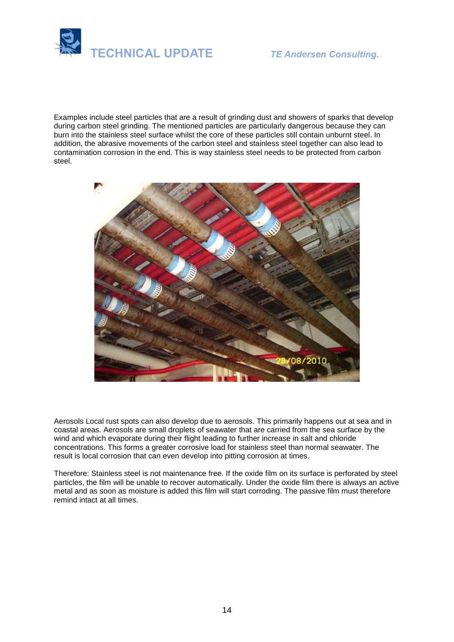

Examples include steel particles that are a result of grinding dust and showers of sparks that develop during carbon steel grinding. The mentioned particles are particularly dangerous because they can burn into the stainless steel surface whilst the core of these particles still contain unburnt steel. In addition, the abrasive movements of the carbon steel and stainless steel together can also lead to contamination corrosion in the end. This is way stainless steel needs to be protected from carbon steel.



Aerosols Local rust spots can also develop due to aerosols. This primarily happens out at sea and in coastal areas. Aerosols are small droplets of seawater that are carried from the sea surface by the wind and which evaporate during their flight leading to further increase in salt and chloride concentrations. This forms a greater corrosive load for stainless steel than normal seawater. The result is local corrosion that can even develop into pitting corrosion at times.

Therefore: Stainless steel is not maintenance free. If the oxide film on its surface is perforated by steel particles, the film will be unable to recover automatically. Under the oxide film there is always an active metal and as soon as moisture is added this film will start corroding. The passive film must therefore remind intact at all times.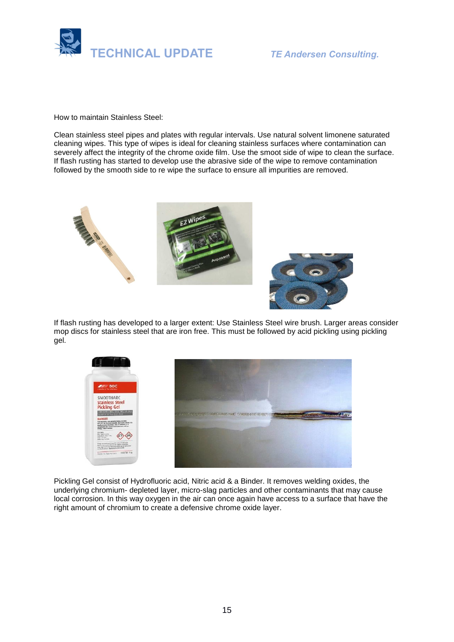

How to maintain Stainless Steel:

Clean stainless steel pipes and plates with regular intervals. Use natural solvent limonene saturated cleaning wipes. This type of wipes is ideal for cleaning stainless surfaces where contamination can severely affect the integrity of the chrome oxide film. Use the smoot side of wipe to clean the surface. If flash rusting has started to develop use the abrasive side of the wipe to remove contamination followed by the smooth side to re wipe the surface to ensure all impurities are removed.





If flash rusting has developed to a larger extent: Use Stainless Steel wire brush. Larger areas consider mop discs for stainless steel that are iron free. This must be followed by acid pickling using pickling gel.



Pickling Gel consist of Hydrofluoric acid, Nitric acid & a Binder. It removes welding oxides, the underlying chromium- depleted layer, micro-slag particles and other contaminants that may cause local corrosion. In this way oxygen in the air can once again have access to a surface that have the right amount of chromium to create a defensive chrome oxide layer.